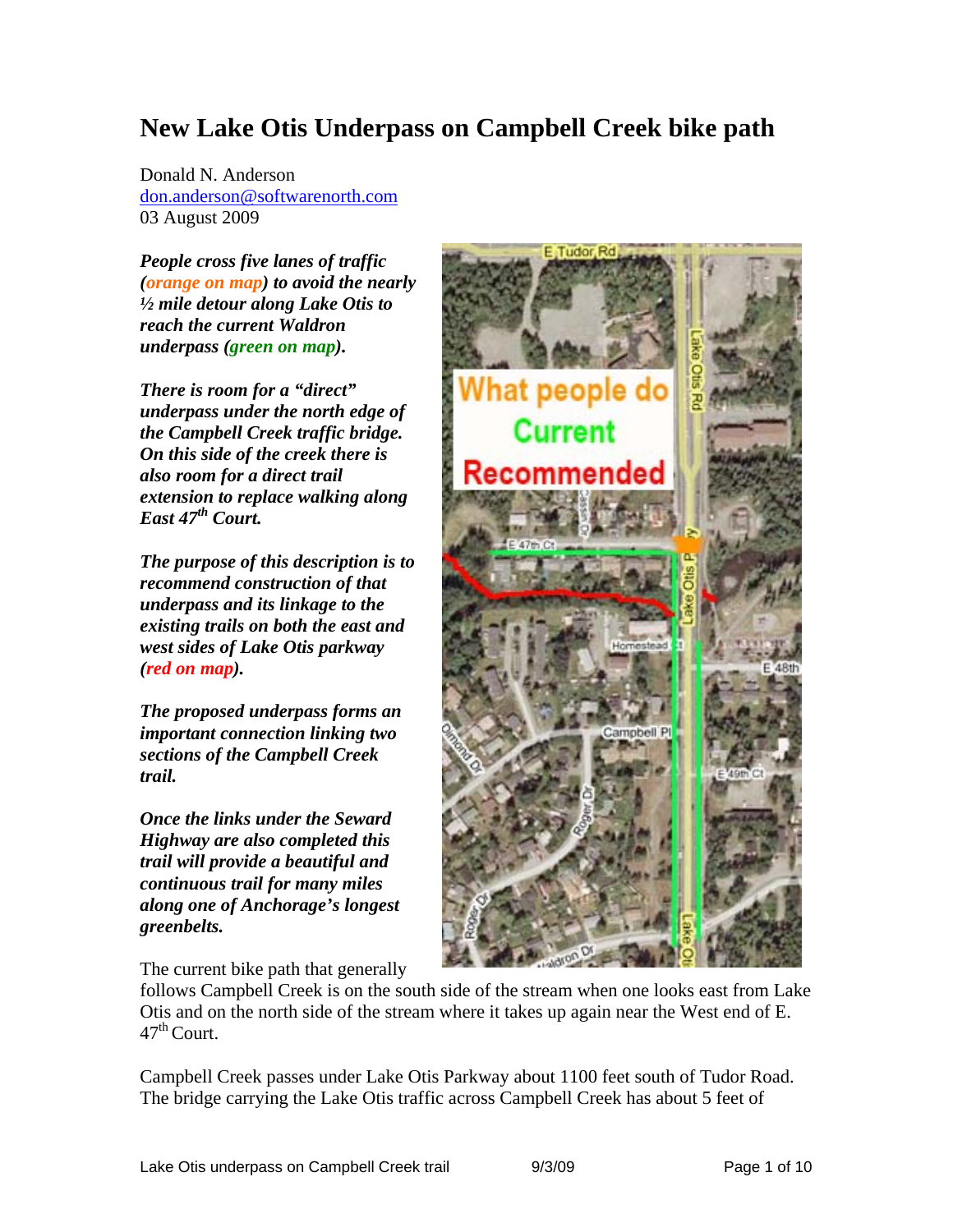# **New Lake Otis Underpass on Campbell Creek bike path**

Donald N. Anderson don.anderson@softwarenorth.com 03 August 2009

*People cross five lanes of traffic (orange on map) to avoid the nearly ½ mile detour along Lake Otis to reach the current Waldron underpass (green on map).* 

*There is room for a "direct" underpass under the north edge of the Campbell Creek traffic bridge. On this side of the creek there is also room for a direct trail extension to replace walking along East 47th Court.* 

*The purpose of this description is to recommend construction of that underpass and its linkage to the existing trails on both the east and west sides of Lake Otis parkway (red on map).* 

*The proposed underpass forms an important connection linking two sections of the Campbell Creek trail.* 

*Once the links under the Seward Highway are also completed this trail will provide a beautiful and continuous trail for many miles along one of Anchorage's longest greenbelts.*

The current bike path that generally



follows Campbell Creek is on the south side of the stream when one looks east from Lake Otis and on the north side of the stream where it takes up again near the West end of E.  $47<sup>th</sup>$  Court.

Campbell Creek passes under Lake Otis Parkway about 1100 feet south of Tudor Road. The bridge carrying the Lake Otis traffic across Campbell Creek has about 5 feet of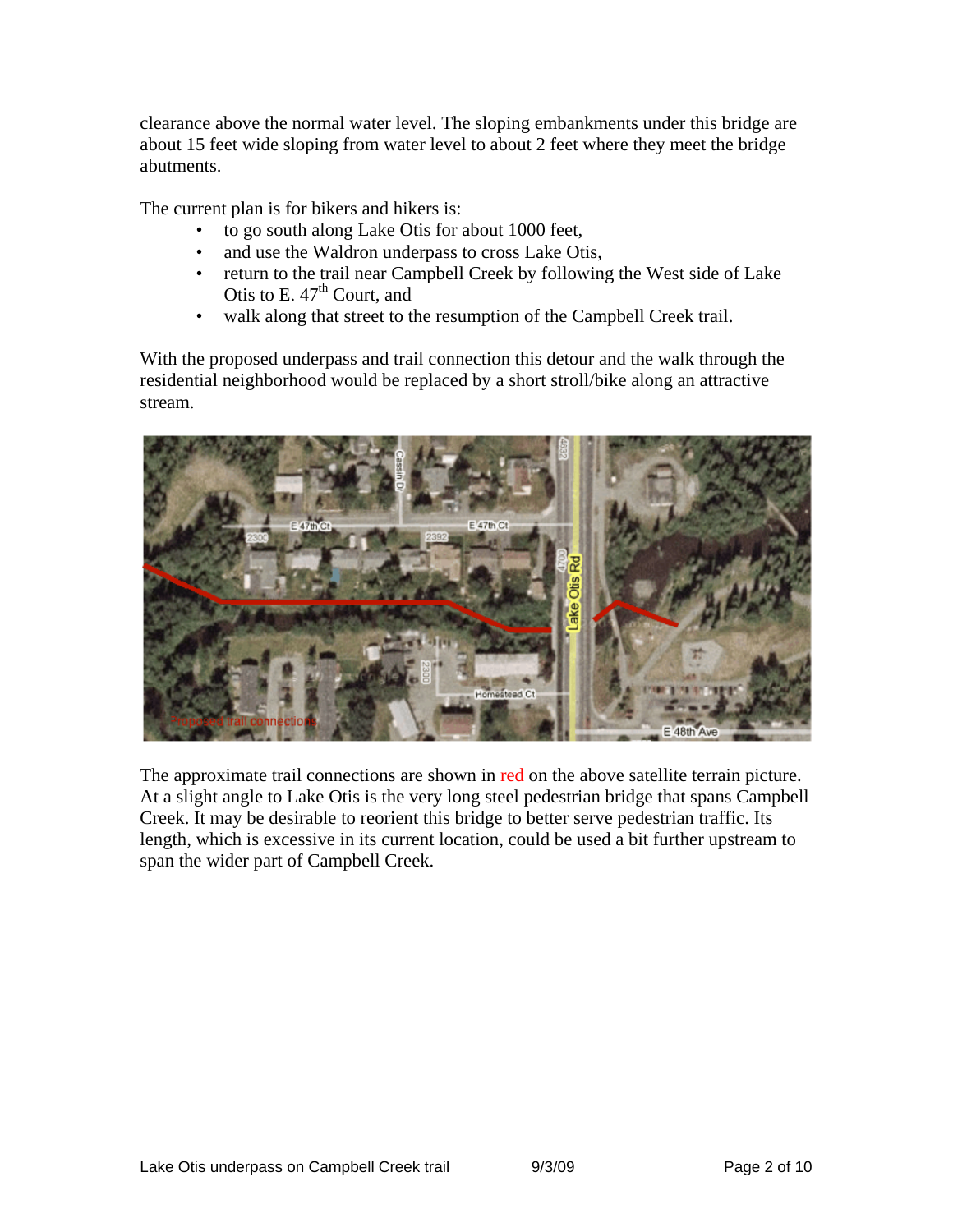clearance above the normal water level. The sloping embankments under this bridge are about 15 feet wide sloping from water level to about 2 feet where they meet the bridge abutments.

The current plan is for bikers and hikers is:

- to go south along Lake Otis for about 1000 feet,
- and use the Waldron underpass to cross Lake Otis,
- return to the trail near Campbell Creek by following the West side of Lake Otis to E.  $47<sup>th</sup>$  Court, and
- walk along that street to the resumption of the Campbell Creek trail.

With the proposed underpass and trail connection this detour and the walk through the residential neighborhood would be replaced by a short stroll/bike along an attractive stream.



The approximate trail connections are shown in red on the above satellite terrain picture. At a slight angle to Lake Otis is the very long steel pedestrian bridge that spans Campbell Creek. It may be desirable to reorient this bridge to better serve pedestrian traffic. Its length, which is excessive in its current location, could be used a bit further upstream to span the wider part of Campbell Creek.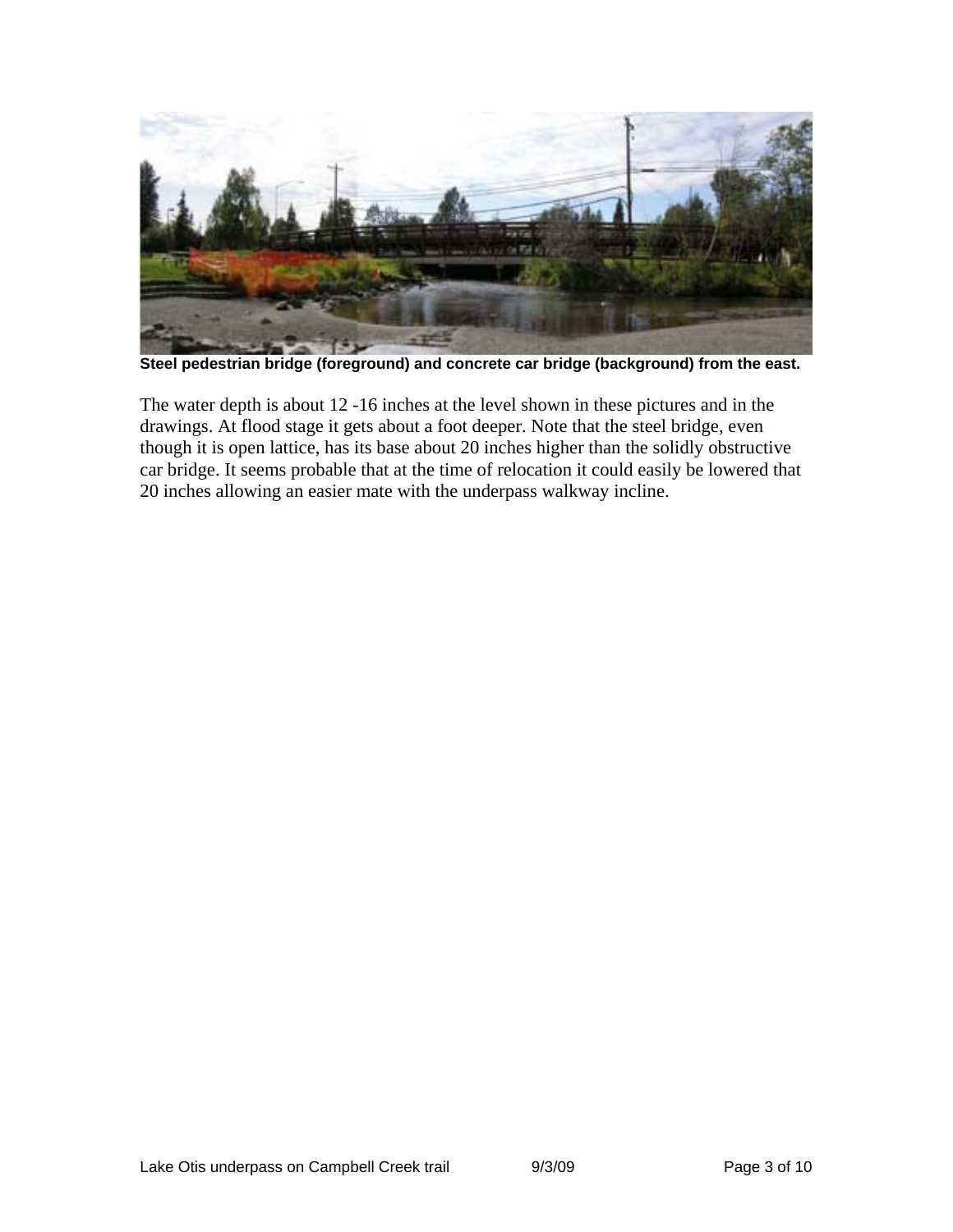

**Steel pedestrian bridge (foreground) and concrete car bridge (background) from the east.** 

The water depth is about 12 -16 inches at the level shown in these pictures and in the drawings. At flood stage it gets about a foot deeper. Note that the steel bridge, even though it is open lattice, has its base about 20 inches higher than the solidly obstructive car bridge. It seems probable that at the time of relocation it could easily be lowered that 20 inches allowing an easier mate with the underpass walkway incline.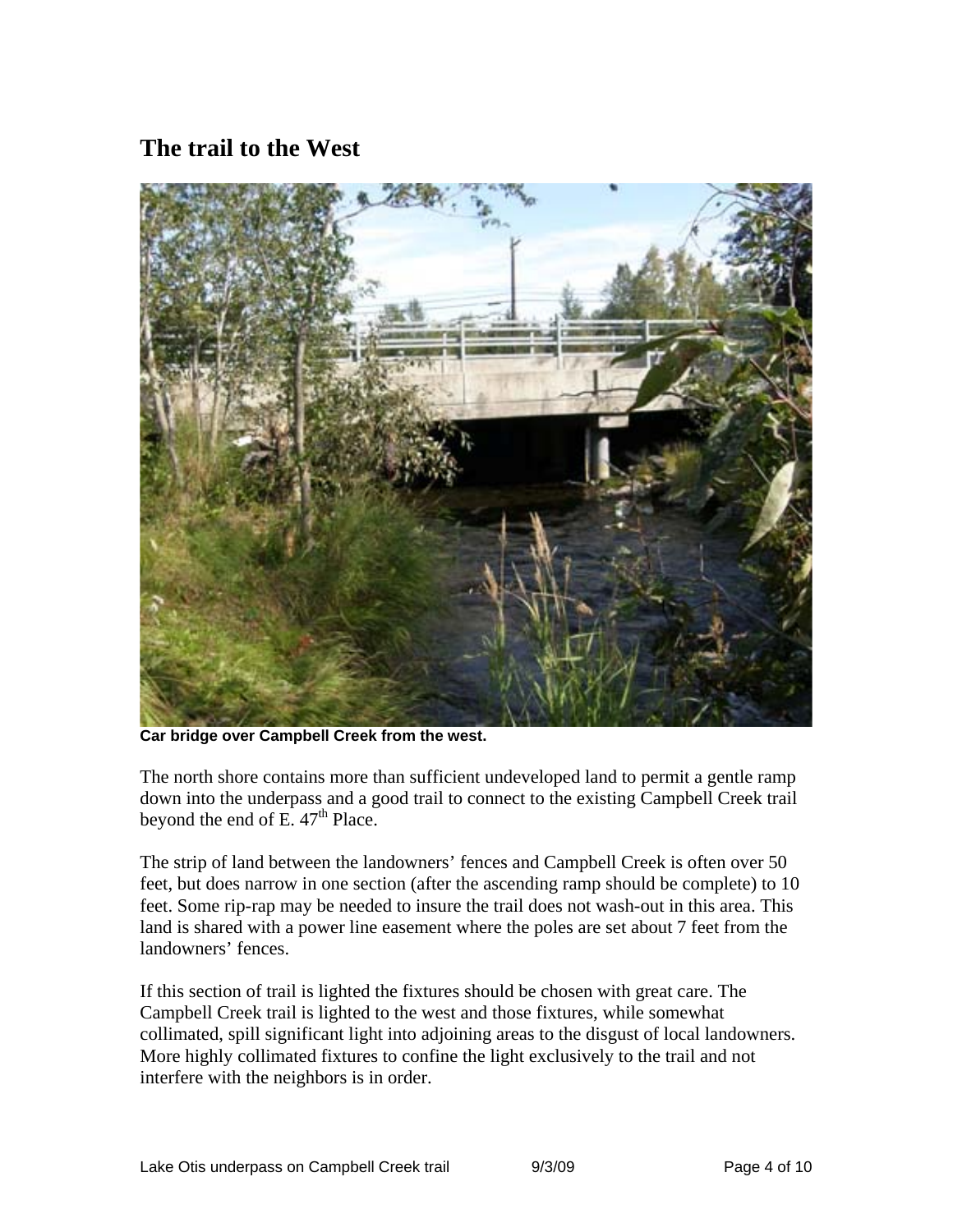## **The trail to the West**



**Car bridge over Campbell Creek from the west.** 

The north shore contains more than sufficient undeveloped land to permit a gentle ramp down into the underpass and a good trail to connect to the existing Campbell Creek trail beyond the end of E.  $47<sup>th</sup>$  Place.

The strip of land between the landowners' fences and Campbell Creek is often over 50 feet, but does narrow in one section (after the ascending ramp should be complete) to 10 feet. Some rip-rap may be needed to insure the trail does not wash-out in this area. This land is shared with a power line easement where the poles are set about 7 feet from the landowners' fences.

If this section of trail is lighted the fixtures should be chosen with great care. The Campbell Creek trail is lighted to the west and those fixtures, while somewhat collimated, spill significant light into adjoining areas to the disgust of local landowners. More highly collimated fixtures to confine the light exclusively to the trail and not interfere with the neighbors is in order.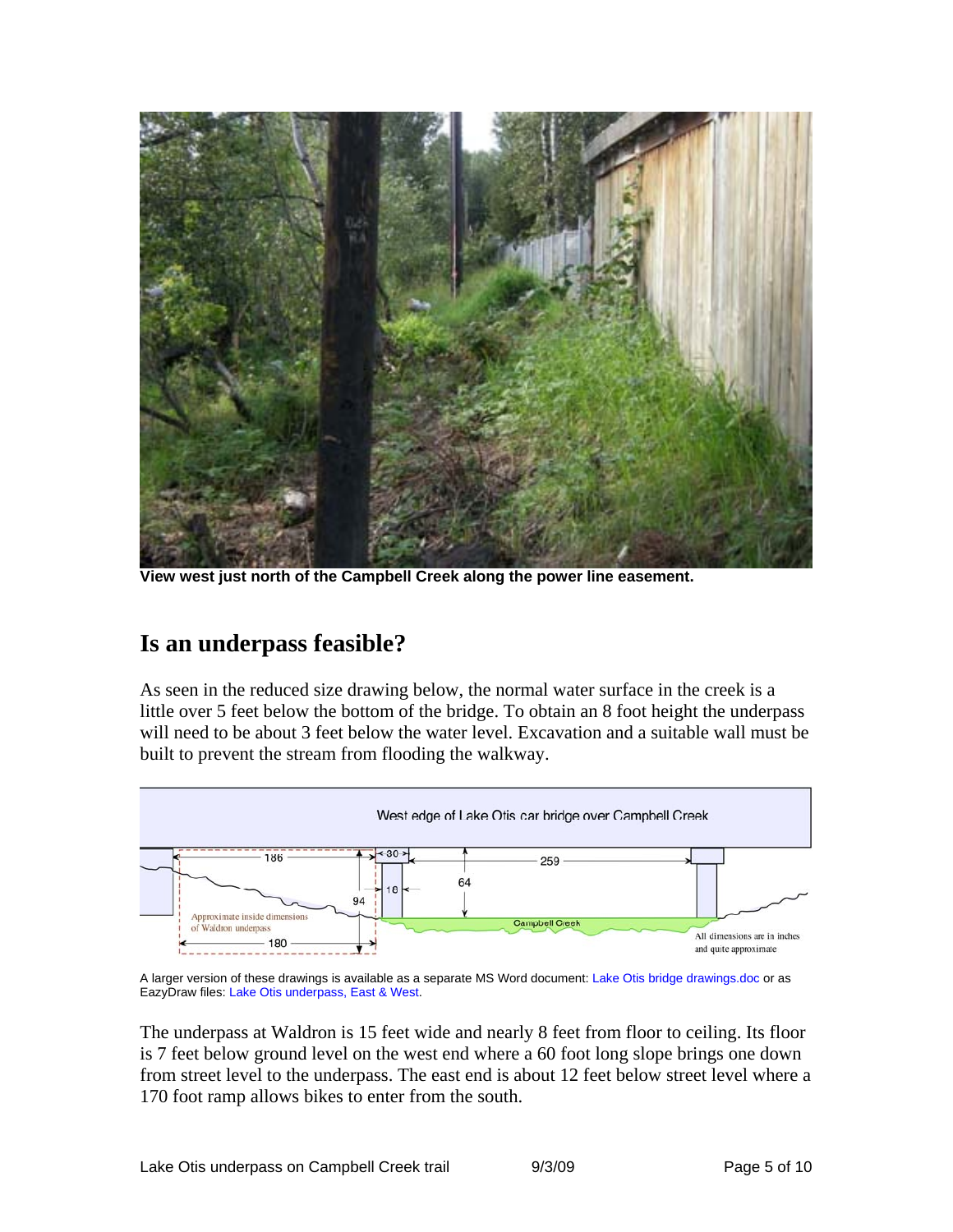

**View west just north of the Campbell Creek along the power line easement.** 

### **Is an underpass feasible?**

As seen in the reduced size drawing below, the normal water surface in the creek is a little over 5 feet below the bottom of the bridge. To obtain an 8 foot height the underpass will need to be about 3 feet below the water level. Excavation and a suitable wall must be built to prevent the stream from flooding the walkway.



A larger version of these drawings is available as a separate MS Word document: Lake Otis bridge drawings.doc or as EazyDraw files: Lake Otis underpass, East & West.

The underpass at Waldron is 15 feet wide and nearly 8 feet from floor to ceiling. Its floor is 7 feet below ground level on the west end where a 60 foot long slope brings one down from street level to the underpass. The east end is about 12 feet below street level where a 170 foot ramp allows bikes to enter from the south.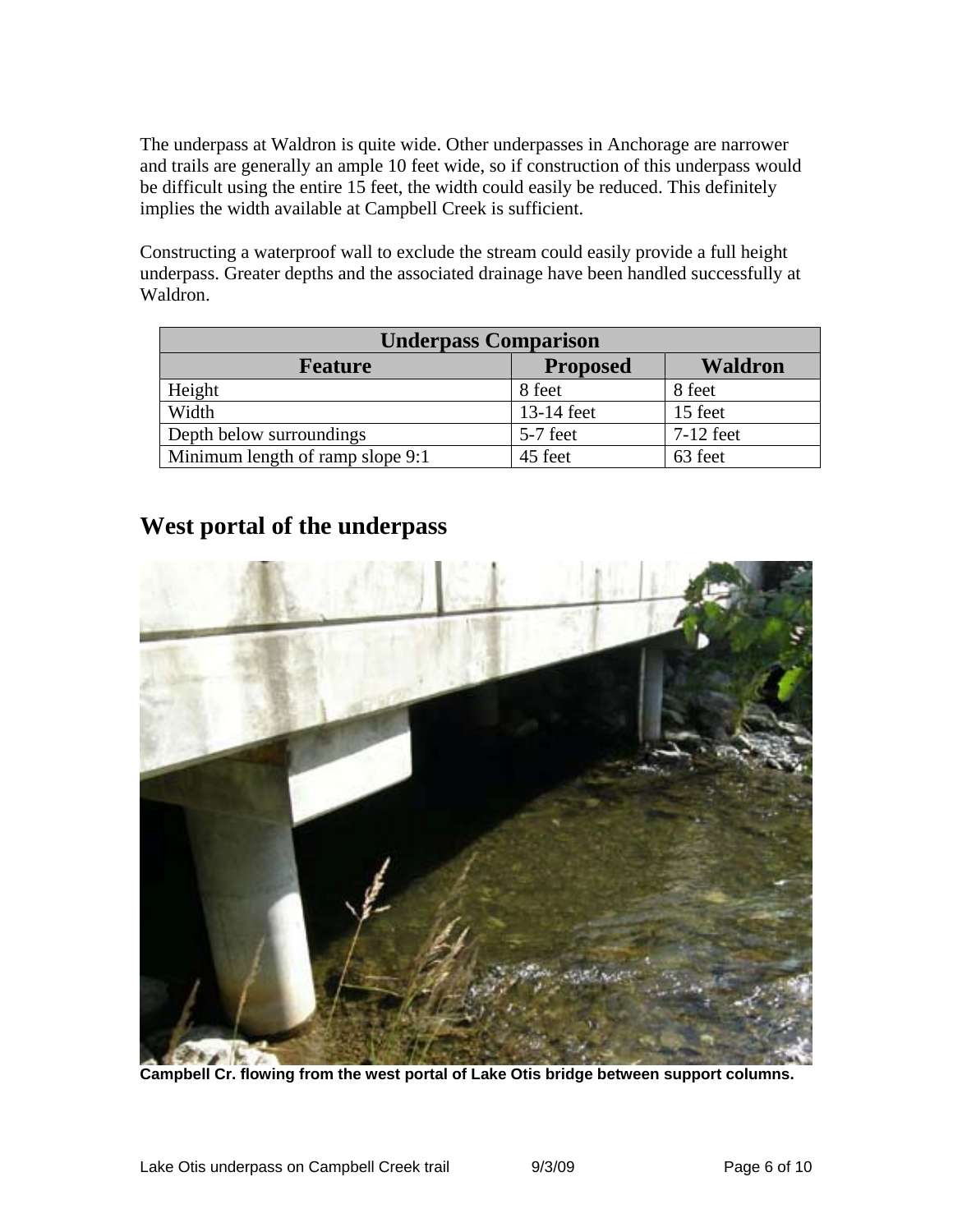The underpass at Waldron is quite wide. Other underpasses in Anchorage are narrower and trails are generally an ample 10 feet wide, so if construction of this underpass would be difficult using the entire 15 feet, the width could easily be reduced. This definitely implies the width available at Campbell Creek is sufficient.

Constructing a waterproof wall to exclude the stream could easily provide a full height underpass. Greater depths and the associated drainage have been handled successfully at Waldron.

| <b>Underpass Comparison</b>      |                 |                |
|----------------------------------|-----------------|----------------|
| <b>Feature</b>                   | <b>Proposed</b> | <b>Waldron</b> |
| Height                           | 8 feet          | 8 feet         |
| Width                            | 13-14 feet      | 15 feet        |
| Depth below surroundings         | 5-7 feet        | $7-12$ feet    |
| Minimum length of ramp slope 9:1 | 45 feet         | 63 feet        |

### **West portal of the underpass**



**Campbell Cr. flowing from the west portal of Lake Otis bridge between support columns.**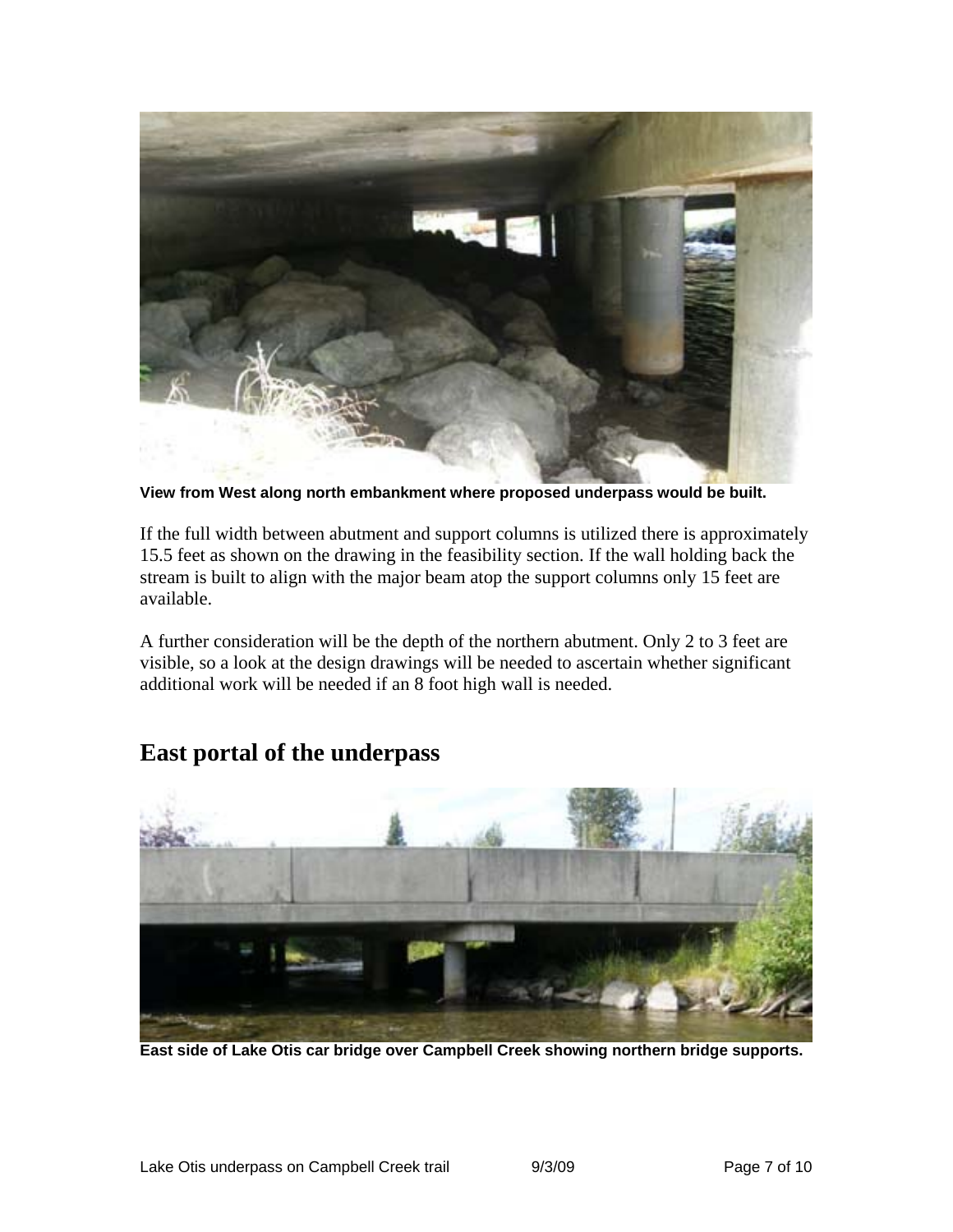

**View from West along north embankment where proposed underpass would be built.** 

If the full width between abutment and support columns is utilized there is approximately 15.5 feet as shown on the drawing in the feasibility section. If the wall holding back the stream is built to align with the major beam atop the support columns only 15 feet are available.

A further consideration will be the depth of the northern abutment. Only 2 to 3 feet are visible, so a look at the design drawings will be needed to ascertain whether significant additional work will be needed if an 8 foot high wall is needed.



### **East portal of the underpass**

**East side of Lake Otis car bridge over Campbell Creek showing northern bridge supports.**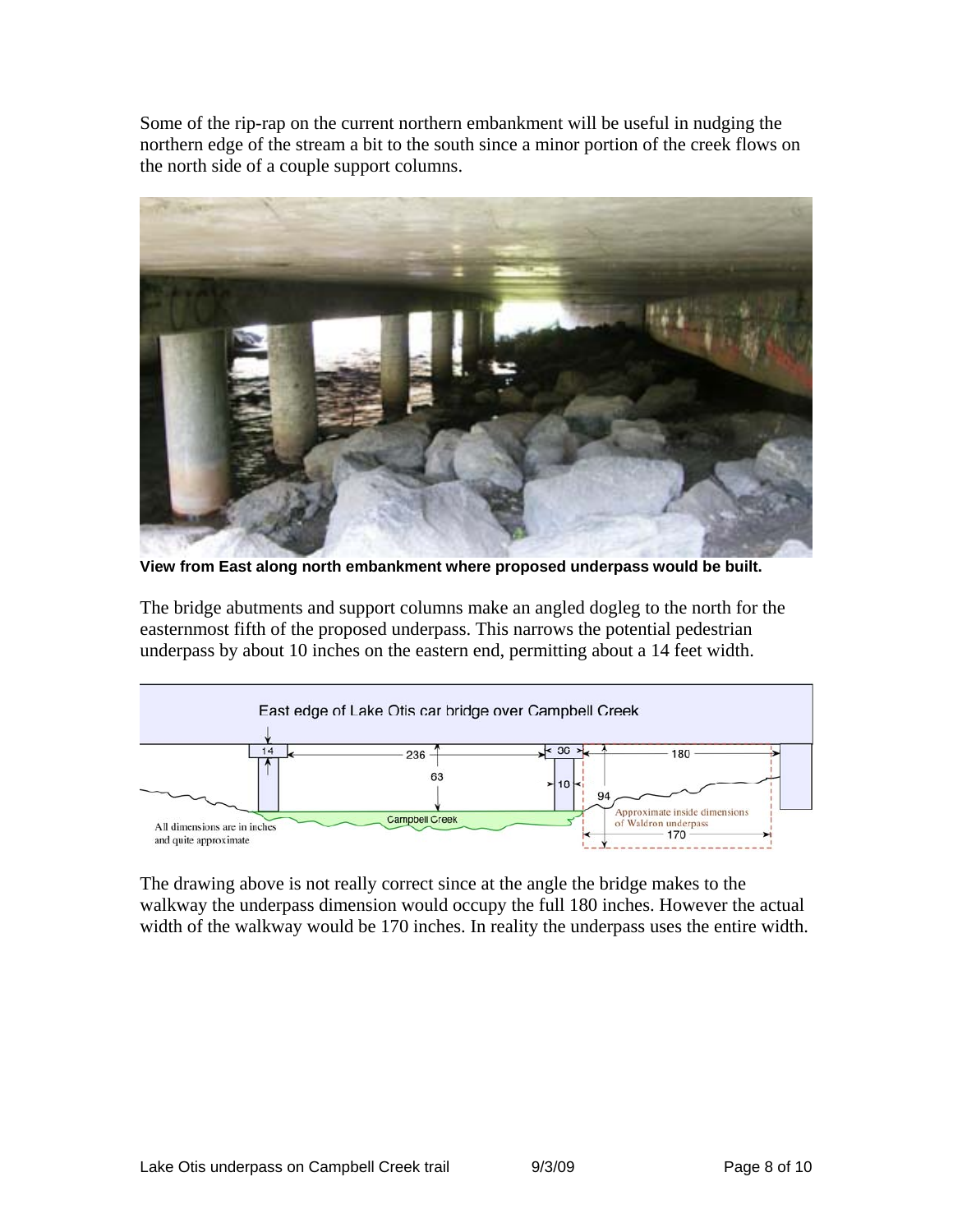Some of the rip-rap on the current northern embankment will be useful in nudging the northern edge of the stream a bit to the south since a minor portion of the creek flows on the north side of a couple support columns.



**View from East along north embankment where proposed underpass would be built.** 

The bridge abutments and support columns make an angled dogleg to the north for the easternmost fifth of the proposed underpass. This narrows the potential pedestrian underpass by about 10 inches on the eastern end, permitting about a 14 feet width.



The drawing above is not really correct since at the angle the bridge makes to the walkway the underpass dimension would occupy the full 180 inches. However the actual width of the walkway would be 170 inches. In reality the underpass uses the entire width.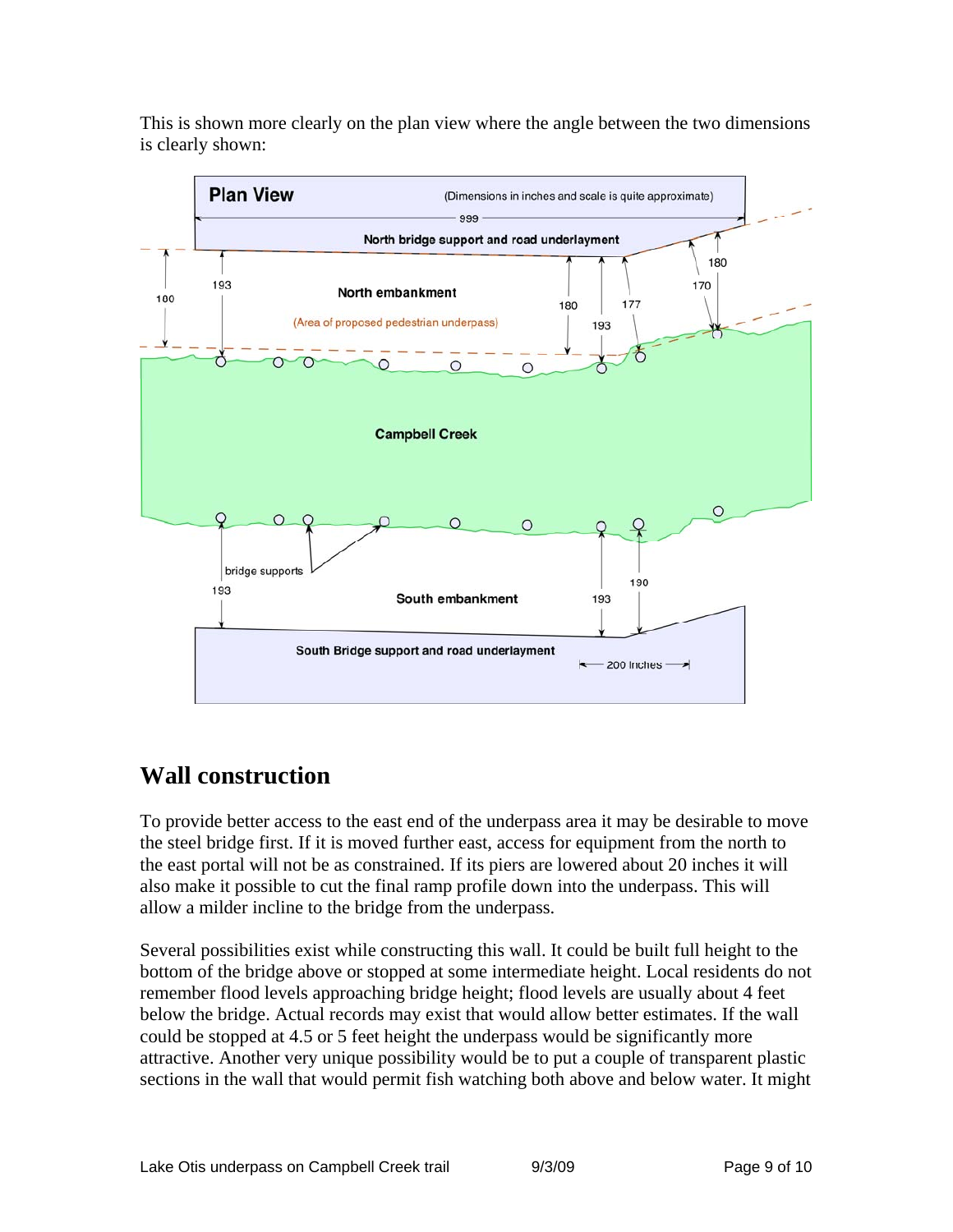This is shown more clearly on the plan view where the angle between the two dimensions is clearly shown:



## **Wall construction**

To provide better access to the east end of the underpass area it may be desirable to move the steel bridge first. If it is moved further east, access for equipment from the north to the east portal will not be as constrained. If its piers are lowered about 20 inches it will also make it possible to cut the final ramp profile down into the underpass. This will allow a milder incline to the bridge from the underpass.

Several possibilities exist while constructing this wall. It could be built full height to the bottom of the bridge above or stopped at some intermediate height. Local residents do not remember flood levels approaching bridge height; flood levels are usually about 4 feet below the bridge. Actual records may exist that would allow better estimates. If the wall could be stopped at 4.5 or 5 feet height the underpass would be significantly more attractive. Another very unique possibility would be to put a couple of transparent plastic sections in the wall that would permit fish watching both above and below water. It might